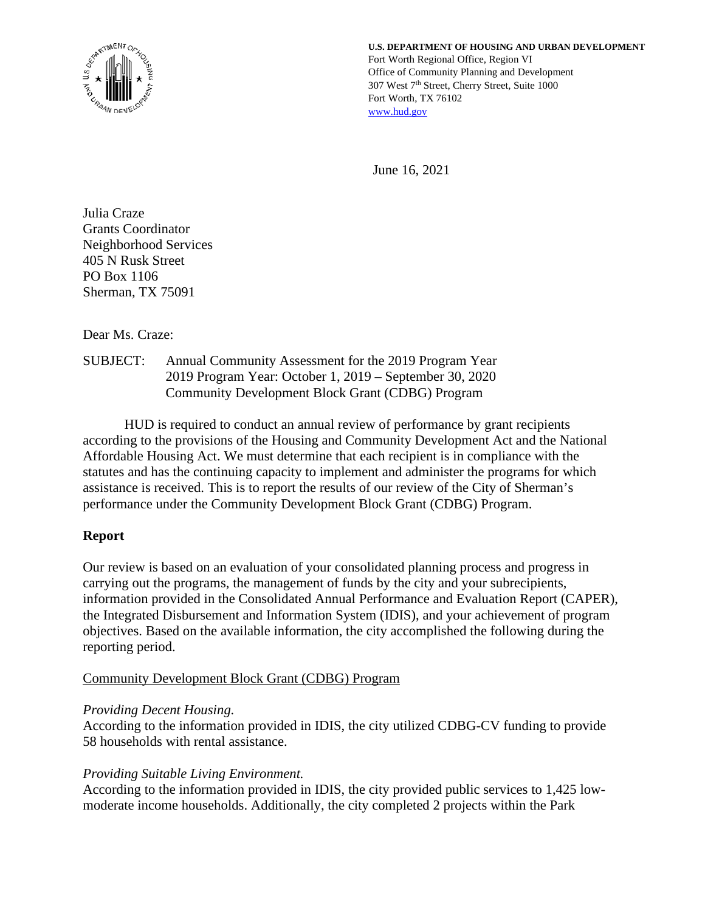

**U.S. DEPARTMENT OF HOUSING AND URBAN DEVELOPMENT** Fort Worth Regional Office, Region VI Office of Community Planning and Development 307 West 7th Street, Cherry Street, Suite 1000 Fort Worth, TX 76102 [www.hud.gov](http://www.hud.gov/) 

June 16, 2021

Julia Craze Grants Coordinator Neighborhood Services 405 N Rusk Street PO Box 1106 Sherman, TX 75091

Dear Ms. Craze:

SUBJECT: Annual Community Assessment for the 2019 Program Year 2019 Program Year: October 1, 2019 – September 30, 2020 Community Development Block Grant (CDBG) Program

HUD is required to conduct an annual review of performance by grant recipients according to the provisions of the Housing and Community Development Act and the National Affordable Housing Act. We must determine that each recipient is in compliance with the statutes and has the continuing capacity to implement and administer the programs for which assistance is received. This is to report the results of our review of the City of Sherman's performance under the Community Development Block Grant (CDBG) Program.

## **Report**

Our review is based on an evaluation of your consolidated planning process and progress in carrying out the programs, the management of funds by the city and your subrecipients, information provided in the Consolidated Annual Performance and Evaluation Report (CAPER), the Integrated Disbursement and Information System (IDIS), and your achievement of program objectives. Based on the available information, the city accomplished the following during the reporting period.

## Community Development Block Grant (CDBG) Program

### *Providing Decent Housing.*

According to the information provided in IDIS, the city utilized CDBG-CV funding to provide 58 households with rental assistance.

## *Providing Suitable Living Environment.*

According to the information provided in IDIS, the city provided public services to 1,425 lowmoderate income households. Additionally, the city completed 2 projects within the Park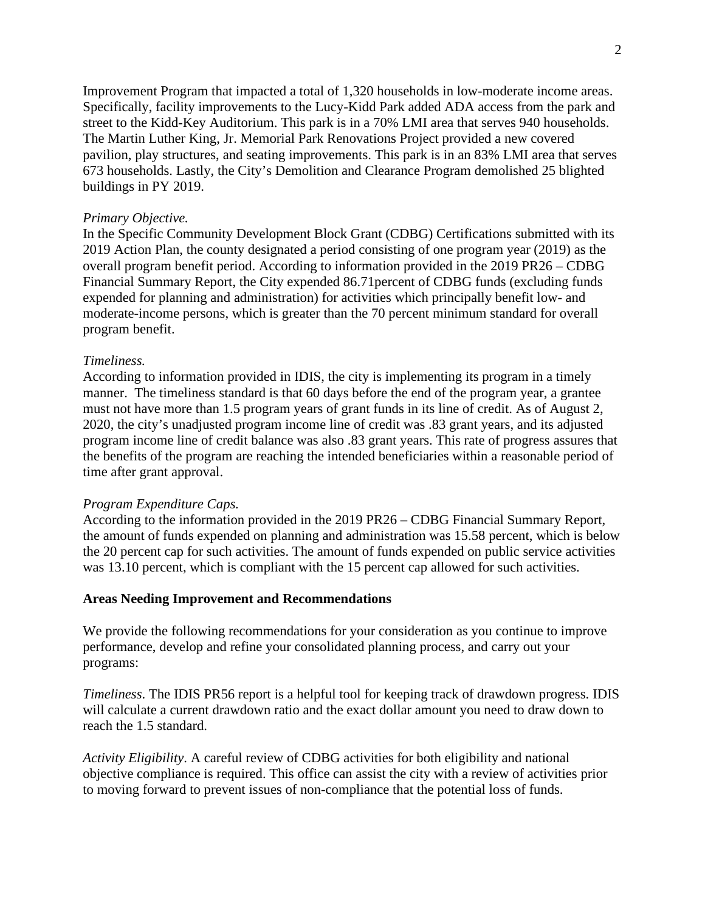Improvement Program that impacted a total of 1,320 households in low-moderate income areas. Specifically, facility improvements to the Lucy-Kidd Park added ADA access from the park and street to the Kidd-Key Auditorium. This park is in a 70% LMI area that serves 940 households. The Martin Luther King, Jr. Memorial Park Renovations Project provided a new covered pavilion, play structures, and seating improvements. This park is in an 83% LMI area that serves 673 households. Lastly, the City's Demolition and Clearance Program demolished 25 blighted buildings in PY 2019.

#### *Primary Objective.*

In the Specific Community Development Block Grant (CDBG) Certifications submitted with its 2019 Action Plan, the county designated a period consisting of one program year (2019) as the overall program benefit period. According to information provided in the 2019 PR26 – CDBG Financial Summary Report, the City expended 86.71percent of CDBG funds (excluding funds expended for planning and administration) for activities which principally benefit low- and moderate-income persons, which is greater than the 70 percent minimum standard for overall program benefit.

#### *Timeliness.*

According to information provided in IDIS, the city is implementing its program in a timely manner. The timeliness standard is that 60 days before the end of the program year, a grantee must not have more than 1.5 program years of grant funds in its line of credit. As of August 2, 2020, the city's unadjusted program income line of credit was .83 grant years, and its adjusted program income line of credit balance was also .83 grant years. This rate of progress assures that the benefits of the program are reaching the intended beneficiaries within a reasonable period of time after grant approval.

#### *Program Expenditure Caps.*

According to the information provided in the 2019 PR26 – CDBG Financial Summary Report, the amount of funds expended on planning and administration was 15.58 percent, which is below the 20 percent cap for such activities. The amount of funds expended on public service activities was 13.10 percent, which is compliant with the 15 percent cap allowed for such activities.

#### **Areas Needing Improvement and Recommendations**

We provide the following recommendations for your consideration as you continue to improve performance, develop and refine your consolidated planning process, and carry out your programs:

*Timeliness*. The IDIS PR56 report is a helpful tool for keeping track of drawdown progress. IDIS will calculate a current drawdown ratio and the exact dollar amount you need to draw down to reach the 1.5 standard.

*Activity Eligibility*. A careful review of CDBG activities for both eligibility and national objective compliance is required. This office can assist the city with a review of activities prior to moving forward to prevent issues of non-compliance that the potential loss of funds.